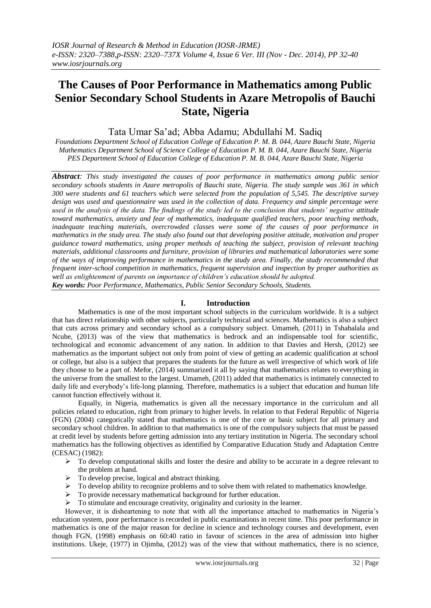# **The Causes of Poor Performance in Mathematics among Public Senior Secondary School Students in Azare Metropolis of Bauchi State, Nigeria**

# Tata Umar Sa'ad; Abba Adamu; Abdullahi M. Sadiq

*Foundations Department School of Education College of Education P. M. B. 044, Azare Bauchi State, Nigeria Mathematics Department School of Science College of Education P. M. B. 044, Azare Bauchi State, Nigeria PES Department School of Education College of Education P. M. B. 044, Azare Bauchi State, Nigeria*

*Abstract: This study investigated the causes of poor performance in mathematics among public senior secondary schools students in Azare metropolis of Bauchi state, Nigeria. The study sample was 361 in which 300 were students and 61 teachers which were selected from the population of 5,545. The descriptive survey design was used and questionnaire was used in the collection of data. Frequency and simple percentage were used in the analysis of the data. The findings of the study led to the conclusion that students' negative attitude toward mathematics, anxiety and fear of mathematics, inadequate qualified teachers, poor teaching methods, inadequate teaching materials, overcrowded classes were some of the causes of poor performance in mathematics in the study area. The study also found out that developing positive attitude, motivation and proper guidance toward mathematics, using proper methods of teaching the subject, provision of relevant teaching materials, additional classrooms and furniture, provision of libraries and mathematical laboratories were some of the ways of improving performance in mathematics in the study area. Finally, the study recommended that frequent inter-school competition in mathematics, frequent supervision and inspection by proper authorities as well as enlightenment of parents on importance of children's education should be adopted. Key words: Poor Performance, Mathematics, Public Senior Secondary Schools, Students.*

# **I. Introduction**

Mathematics is one of the most important school subjects in the curriculum worldwide. It is a subject that has direct relationship with other subjects, particularly technical and sciences. Mathematics is also a subject that cuts across primary and secondary school as a compulsory subject. Umameh, (2011) in Tshabalala and Ncube, (2013) was of the view that mathematics is bedrock and an indispensable tool for scientific, technological and economic advancement of any nation. In addition to that Davies and Hersh, (2012) see mathematics as the important subject not only from point of view of getting an academic qualification at school or college, but also is a subject that prepares the students for the future as well irrespective of which work of life they choose to be a part of. Mefor, (2014) summarized it all by saying that mathematics relates to everything in the universe from the smallest to the largest. Umameh, (2011) added that mathematics is intimately connected to daily life and everybody's life-long planning. Therefore, mathematics is a subject that education and human life cannot function effectively without it.

Equally, in Nigeria, mathematics is given all the necessary importance in the curriculum and all policies related to education, right from primary to higher levels. In relation to that Federal Republic of Nigeria (FGN) (2004) categorically stated that mathematics is one of the core or basic subject for all primary and secondary school children. In addition to that mathematics is one of the compulsory subjects that must be passed at credit level by students before getting admission into any tertiary institution in Nigeria. The secondary school mathematics has the following objectives as identified by Comparative Education Study and Adaptation Centre (CESAC) (1982):

- $\triangleright$  To develop computational skills and foster the desire and ability to be accurate in a degree relevant to the problem at hand.
- $\triangleright$  To develop precise, logical and abstract thinking.
- $\triangleright$  To develop ability to recognize problems and to solve them with related to mathematics knowledge.
- $\triangleright$  To provide necessary mathematical background for further education.
- $\triangleright$  To stimulate and encourage creativity, originality and curiosity in the learner.

However, it is disheartening to note that with all the importance attached to mathematics in Nigeria's education system, poor performance is recorded in public examinations in recent time. This poor performance in mathematics is one of the major reason for decline in science and technology courses and development, even though FGN, (1998) emphasis on 60:40 ratio in favour of sciences in the area of admission into higher institutions. Ukeje, (1977) in Ojimba, (2012) was of the view that without mathematics, there is no science,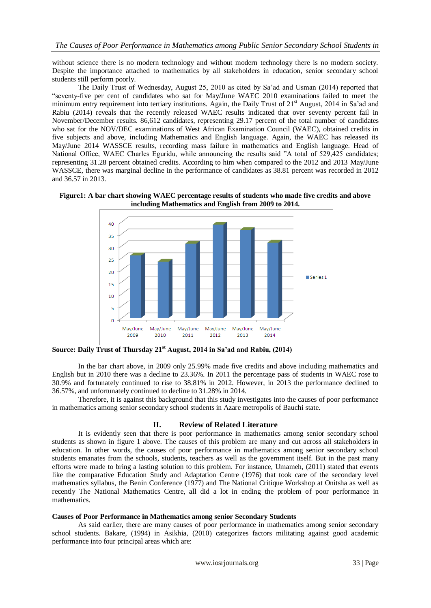without science there is no modern technology and without modern technology there is no modern society. Despite the importance attached to mathematics by all stakeholders in education, senior secondary school students still perform poorly.

The Daily Trust of Wednesday, August 25, 2010 as cited by Sa'ad and Usman (2014) reported that "seventy-five per cent of candidates who sat for May/June WAEC 2010 examinations failed to meet the minimum entry requirement into tertiary institutions. Again, the Daily Trust of 21<sup>st</sup> August, 2014 in Sa'ad and Rabiu (2014) reveals that the recently released WAEC results indicated that over seventy percent fail in November/December results. 86,612 candidates, representing 29.17 percent of the total number of candidates who sat for the NOV/DEC examinations of West African Examination Council (WAEC), obtained credits in five subjects and above, including Mathematics and English language. Again, the WAEC has released its May/June 2014 WASSCE results, recording mass failure in mathematics and English language. Head of National Office, WAEC Charles Eguridu, while announcing the results said "A total of 529,425 candidates; representing 31.28 percent obtained credits. According to him when compared to the 2012 and 2013 May/June WASSCE, there was marginal decline in the performance of candidates as 38.81 percent was recorded in 2012 and 36.57 in 2013.





**Source: Daily Trust of Thursday 21st August, 2014 in Sa'ad and Rabiu, (2014)**

In the bar chart above, in 2009 only 25.99% made five credits and above including mathematics and English but in 2010 there was a decline to 23.36%. In 2011 the percentage pass of students in WAEC rose to 30.9% and fortunately continued to rise to 38.81% in 2012. However, in 2013 the performance declined to 36.57%, and unfortunately continued to decline to 31.28% in 2014.

Therefore, it is against this background that this study investigates into the causes of poor performance in mathematics among senior secondary school students in Azare metropolis of Bauchi state.

# **II. Review of Related Literature**

It is evidently seen that there is poor performance in mathematics among senior secondary school students as shown in figure 1 above. The causes of this problem are many and cut across all stakeholders in education. In other words, the causes of poor performance in mathematics among senior secondary school students emanates from the schools, students, teachers as well as the government itself. But in the past many efforts were made to bring a lasting solution to this problem. For instance, Umameh, (2011) stated that events like the comparative Education Study and Adaptation Centre (1976) that took care of the secondary level mathematics syllabus, the Benin Conference (1977) and The National Critique Workshop at Onitsha as well as recently The National Mathematics Centre, all did a lot in ending the problem of poor performance in mathematics.

# **Causes of Poor Performance in Mathematics among senior Secondary Students**

As said earlier, there are many causes of poor performance in mathematics among senior secondary school students. Bakare, (1994) in Asikhia, (2010) categorizes factors militating against good academic performance into four principal areas which are: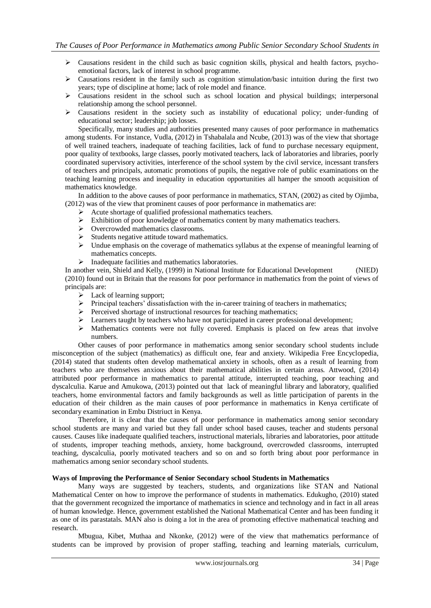- $\triangleright$  Causations resident in the child such as basic cognition skills, physical and health factors, psychoemotional factors, lack of interest in school programme.
- $\triangleright$  Causations resident in the family such as cognition stimulation/basic intuition during the first two years; type of discipline at home; lack of role model and finance.
- $\triangleright$  Causations resident in the school such as school location and physical buildings; interpersonal relationship among the school personnel.
- $\triangleright$  Causations resident in the society such as instability of educational policy; under-funding of educational sector; leadership; job losses.

Specifically, many studies and authorities presented many causes of poor performance in mathematics among students. For instance, Vudla, (2012) in Tshabalala and Ncube, (2013) was of the view that shortage of well trained teachers, inadequate of teaching facilities, lack of fund to purchase necessary equipment, poor quality of textbooks, large classes, poorly motivated teachers, lack of laboratories and libraries, poorly coordinated supervisory activities, interference of the school system by the civil service, incessant transfers of teachers and principals, automatic promotions of pupils, the negative role of public examinations on the teaching learning process and inequality in education opportunities all hamper the smooth acquisition of mathematics knowledge.

In addition to the above causes of poor performance in mathematics, STAN, (2002) as cited by Ojimba, (2012) was of the view that prominent causes of poor performance in mathematics are:

- Acute shortage of qualified professional mathematics teachers.
- $\triangleright$  Exhibition of poor knowledge of mathematics content by many mathematics teachers.
- ▶ Overcrowded mathematics classrooms.
- $\triangleright$  Students negative attitude toward mathematics.
- $\triangleright$  Undue emphasis on the coverage of mathematics syllabus at the expense of meaningful learning of mathematics concepts.
- $\triangleright$  Inadequate facilities and mathematics laboratories.

In another vein, Shield and Kelly, (1999) in National Institute for Educational Development (NIED) (2010) found out in Britain that the reasons for poor performance in mathematics from the point of views of principals are:

- > Lack of learning support;
- Principal teachers' dissatisfaction with the in-career training of teachers in mathematics;
- $\triangleright$  Perceived shortage of instructional resources for teaching mathematics;
- Learners taught by teachers who have not participated in career professional development;
- $\triangleright$  Mathematics contents were not fully covered. Emphasis is placed on few areas that involve numbers.

Other causes of poor performance in mathematics among senior secondary school students include misconception of the subject (mathematics) as difficult one, fear and anxiety. Wikipedia Free Encyclopedia, (2014) stated that students often develop mathematical anxiety in schools, often as a result of learning from teachers who are themselves anxious about their mathematical abilities in certain areas. Attwood, (2014) attributed poor performance in mathematics to parental attitude, interrupted teaching, poor teaching and dyscalculia. Karue and Amukowa, (2013) pointed out that lack of meaningful library and laboratory, qualified teachers, home environmental factors and family backgrounds as well as little participation of parents in the education of their children as the main causes of poor performance in mathematics in Kenya certificate of secondary examination in Embu Distriuct in Kenya.

Therefore, it is clear that the causes of poor performance in mathematics among senior secondary school students are many and varied but they fall under school based causes, teacher and students personal causes. Causes like inadequate qualified teachers, instructional materials, libraries and laboratories, poor attitude of students, improper teaching methods, anxiety, home background, overcrowded classrooms, interrupted teaching, dyscalculia, poorly motivated teachers and so on and so forth bring about poor performance in mathematics among senior secondary school students.

# **Ways of Improving the Performance of Senior Secondary school Students in Mathematics**

Many ways are suggested by teachers, students, and organizations like STAN and National Mathematical Center on how to improve the performance of students in mathematics. Edukugho, (2010) stated that the government recognized the importance of mathematics in science and technology and in fact in all areas of human knowledge. Hence, government established the National Mathematical Center and has been funding it as one of its parastatals. MAN also is doing a lot in the area of promoting effective mathematical teaching and research.

Mbugua, Kibet, Muthaa and Nkonke, (2012) were of the view that mathematics performance of students can be improved by provision of proper staffing, teaching and learning materials, curriculum,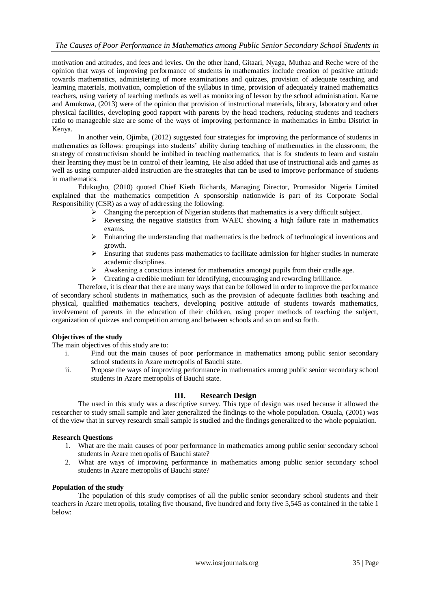motivation and attitudes, and fees and levies. On the other hand, Gitaari, Nyaga, Muthaa and Reche were of the opinion that ways of improving performance of students in mathematics include creation of positive attitude towards mathematics, administering of more examinations and quizzes, provision of adequate teaching and learning materials, motivation, completion of the syllabus in time, provision of adequately trained mathematics teachers, using variety of teaching methods as well as monitoring of lesson by the school administration. Karue and Amukowa, (2013) were of the opinion that provision of instructional materials, library, laboratory and other physical facilities, developing good rapport with parents by the head teachers, reducing students and teachers ratio to manageable size are some of the ways of improving performance in mathematics in Embu District in Kenya.

In another vein, Ojimba, (2012) suggested four strategies for improving the performance of students in mathematics as follows: groupings into students' ability during teaching of mathematics in the classroom; the strategy of constructivism should be imbibed in teaching mathematics, that is for students to learn and sustain their learning they must be in control of their learning. He also added that use of instructional aids and games as well as using computer-aided instruction are the strategies that can be used to improve performance of students in mathematics.

Edukugho, (2010) quoted Chief Kieth Richards, Managing Director, Promasidor Nigeria Limited explained that the mathematics competition A sponsorship nationwide is part of its Corporate Social Responsibility (CSR) as a way of addressing the following:

- $\triangleright$  Changing the perception of Nigerian students that mathematics is a very difficult subject.
- $\triangleright$  Reversing the negative statistics from WAEC showing a high failure rate in mathematics exams.
- $\triangleright$  Enhancing the understanding that mathematics is the bedrock of technological inventions and growth.
- $\triangleright$  Ensuring that students pass mathematics to facilitate admission for higher studies in numerate academic disciplines.
- Awakening a conscious interest for mathematics amongst pupils from their cradle age.
- Creating a credible medium for identifying, encouraging and rewarding brilliance.

Therefore, it is clear that there are many ways that can be followed in order to improve the performance of secondary school students in mathematics, such as the provision of adequate facilities both teaching and physical, qualified mathematics teachers, developing positive attitude of students towards mathematics, involvement of parents in the education of their children, using proper methods of teaching the subject, organization of quizzes and competition among and between schools and so on and so forth.

# **Objectives of the study**

The main objectives of this study are to:

- i. Find out the main causes of poor performance in mathematics among public senior secondary school students in Azare metropolis of Bauchi state.
- ii. Propose the ways of improving performance in mathematics among public senior secondary school students in Azare metropolis of Bauchi state.

# **III. Research Design**

The used in this study was a descriptive survey. This type of design was used because it allowed the researcher to study small sample and later generalized the findings to the whole population. Osuala, (2001) was of the view that in survey research small sample is studied and the findings generalized to the whole population.

## **Research Questions**

- 1. What are the main causes of poor performance in mathematics among public senior secondary school students in Azare metropolis of Bauchi state?
- 2. What are ways of improving performance in mathematics among public senior secondary school students in Azare metropolis of Bauchi state?

# **Population of the study**

The population of this study comprises of all the public senior secondary school students and their teachers in Azare metropolis, totaling five thousand, five hundred and forty five 5,545 as contained in the table 1 below: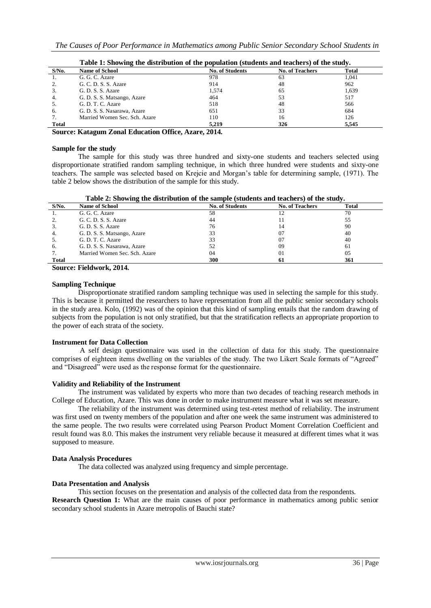|              | Table 1: Showing the distribution of the population (students and teachers) of the study. |                        |                        |       |  |
|--------------|-------------------------------------------------------------------------------------------|------------------------|------------------------|-------|--|
| $S/N0$ .     | <b>Name of School</b>                                                                     | <b>No. of Students</b> | <b>No. of Teachers</b> | Total |  |
|              | G. G. C. Azare                                                                            | 978                    | 63                     | 1.041 |  |
| 2.           | G. C. D. S. S. Azare                                                                      | 914                    | 48                     | 962   |  |
| 3.           | G. D. S. S. Azare                                                                         | 1.574                  | 65                     | 1,639 |  |
| 4.           | G. D. S. S. Matsango, Azare                                                               | 464                    | 53                     | 517   |  |
|              | G. D. T. C. Azare                                                                         | 518                    | 48                     | 566   |  |
| 6.           | G. D. S. S. Nasarawa, Azare                                                               | 651                    | 33                     | 684   |  |
|              | Married Women Sec. Sch. Azare                                                             | 110                    | 16                     | 126   |  |
| <b>Total</b> |                                                                                           | 5.219                  | 326                    | 5.545 |  |

| Table 1: Showing the distribution of the population (students and teachers) of the study |  |  |
|------------------------------------------------------------------------------------------|--|--|
|                                                                                          |  |  |

**Source: Katagum Zonal Education Office, Azare, 2014.**

#### **Sample for the study**

The sample for this study was three hundred and sixty-one students and teachers selected using disproportionate stratified random sampling technique, in which three hundred were students and sixty-one teachers. The sample was selected based on Krejcie and Morgan's table for determining sample, (1971). The table 2 below shows the distribution of the sample for this study.

|  |  | Table 2: Showing the distribution of the sample (students and teachers) of the study. |  |
|--|--|---------------------------------------------------------------------------------------|--|
|  |  |                                                                                       |  |

| $S/N0$ .     | <b>Name of School</b>         | <b>No. of Students</b> | <b>No. of Teachers</b> | Total |
|--------------|-------------------------------|------------------------|------------------------|-------|
| 1.           | G. G. C. Azare                | 58                     |                        | 70    |
| 2.           | G. C. D. S. S. Azare          | 44                     |                        | 55    |
| 3.           | G. D. S. S. Azare             | 76                     | 14                     | 90    |
| 4.           | G. D. S. S. Matsango, Azare   | 33                     | 07                     | 40    |
| -5.          | G. D. T. C. Azare             | 33                     | 07                     | 40    |
| 6.           | G. D. S. S. Nasarawa, Azare   | 52                     | 09                     | 61    |
|              | Married Women Sec. Sch. Azare | 04                     | 01                     | 05    |
| <b>Total</b> |                               | 300                    | 61                     | 361   |

**Source: Fieldwork, 2014.**

# **Sampling Technique**

Disproportionate stratified random sampling technique was used in selecting the sample for this study. This is because it permitted the researchers to have representation from all the public senior secondary schools in the study area. Kolo, (1992) was of the opinion that this kind of sampling entails that the random drawing of subjects from the population is not only stratified, but that the stratification reflects an appropriate proportion to the power of each strata of the society.

#### **Instrument for Data Collection**

A self design questionnaire was used in the collection of data for this study. The questionnaire comprises of eighteen items dwelling on the variables of the study. The two Likert Scale formats of "Agreed" and "Disagreed" were used as the response format for the questionnaire.

#### **Validity and Reliability of the Instrument**

The instrument was validated by experts who more than two decades of teaching research methods in College of Education, Azare. This was done in order to make instrument measure what it was set measure.

The reliability of the instrument was determined using test-retest method of reliability. The instrument was first used on twenty members of the population and after one week the same instrument was administered to the same people. The two results were correlated using Pearson Product Moment Correlation Coefficient and result found was 8.0. This makes the instrument very reliable because it measured at different times what it was supposed to measure.

# **Data Analysis Procedures**

The data collected was analyzed using frequency and simple percentage.

# **Data Presentation and Analysis**

This section focuses on the presentation and analysis of the collected data from the respondents. **Research Question 1:** What are the main causes of poor performance in mathematics among public senior secondary school students in Azare metropolis of Bauchi state?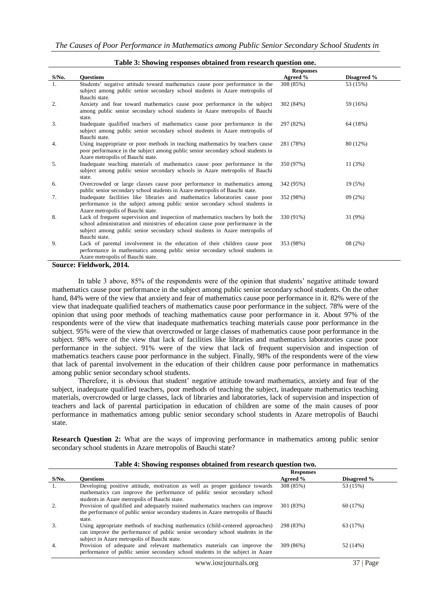|          |                                                                                                                                                                   | <b>Responses</b> |             |
|----------|-------------------------------------------------------------------------------------------------------------------------------------------------------------------|------------------|-------------|
| $S/N0$ . | <b>Ouestions</b>                                                                                                                                                  | Agreed %         | Disagreed % |
| 1.       | Students' negative attitude toward mathematics cause poor performance in the                                                                                      | 308 (85%)        | 53 (15%)    |
|          | subject among public senior secondary school students in Azare metropolis of                                                                                      |                  |             |
|          | Bauchi state.                                                                                                                                                     |                  |             |
| 2.       | Anxiety and fear toward mathematics cause poor performance in the subject                                                                                         | 302 (84%)        | 59 (16%)    |
|          | among public senior secondary school students in Azare metropolis of Bauchi                                                                                       |                  |             |
|          | state.                                                                                                                                                            |                  |             |
| 3.       | Inadequate qualified teachers of mathematics cause poor performance in the                                                                                        | 297 (82%)        | 64 (18%)    |
|          | subject among public senior secondary school students in Azare metropolis of                                                                                      |                  |             |
|          | Bauchi state.                                                                                                                                                     |                  |             |
| 4.       | Using inappropriate or poor methods in teaching mathematics by teachers cause<br>poor performance in the subject among public senior secondary school students in | 281 (78%)        | 80 (12%)    |
|          | Azare metropolis of Bauchi state.                                                                                                                                 |                  |             |
| 5.       | Inadequate teaching materials of mathematics cause poor performance in the                                                                                        | 350 (97%)        | 11(3%)      |
|          | subject among public senior secondary schools in Azare metropolis of Bauchi                                                                                       |                  |             |
|          | state.                                                                                                                                                            |                  |             |
| 6.       | Overcrowded or large classes cause poor performance in mathematics among                                                                                          | 342 (95%)        | 19 (5%)     |
|          | public senior secondary school students in Azare metropolis of Bauchi state.                                                                                      |                  |             |
| 7.       | Inadequate facilities like libraries and mathematics laboratories cause poor                                                                                      | 352 (98%)        | 09(2%)      |
|          | performance in the subject among public senior secondary school students in                                                                                       |                  |             |
|          | Azare metropolis of Bauchi state.                                                                                                                                 |                  |             |
| 8.       | Lack of frequent supervision and inspection of mathematics teachers by both the                                                                                   | 330 (91%)        | 31 (9%)     |
|          | school administration and ministries of education cause poor performance in the                                                                                   |                  |             |
|          | subject among public senior secondary school students in Azare metropolis of                                                                                      |                  |             |
|          | Bauchi state.                                                                                                                                                     |                  |             |
| 9.       | Lack of parental involvement in the education of their children cause poor                                                                                        | 353 (98%)        | 08(2%)      |
|          | performance in mathematics among public senior secondary school students in                                                                                       |                  |             |
|          | Azare metropolis of Bauchi state.                                                                                                                                 |                  |             |

#### **Table 3: Showing responses obtained from research question one.**

#### **Source: Fieldwork, 2014.**

In table 3 above, 85% of the respondents were of the opinion that students' negative attitude toward mathematics cause poor performance in the subject among public senior secondary school students. On the other hand, 84% were of the view that anxiety and fear of mathematics cause poor performance in it. 82% were of the view that inadequate qualified teachers of mathematics cause poor performance in the subject. 78% were of the opinion that using poor methods of teaching mathematics cause poor performance in it. About 97% of the respondents were of the view that inadequate mathematics teaching materials cause poor performance in the subject. 95% were of the view that overcrowded or large classes of mathematics cause poor performance in the subject. 98% were of the view that lack of facilities like libraries and mathematics laboratories cause poor performance in the subject. 91% were of the view that lack of frequent supervision and inspection of mathematics teachers cause poor performance in the subject. Finally, 98% of the respondents were of the view that lack of parental involvement in the education of their children cause poor performance in mathematics among public senior secondary school students.

Therefore, it is obvious that student' negative attitude toward mathematics, anxiety and fear of the subject, inadequate qualified teachers, poor methods of teaching the subject, inadequate mathematics teaching materials, overcrowded or large classes, lack of libraries and laboratories, lack of supervision and inspection of teachers and lack of parental participation in education of children are some of the main causes of poor performance in mathematics among public senior secondary school students in Azare metropolis of Bauchi state.

**Research Question 2:** What are the ways of improving performance in mathematics among public senior secondary school students in Azare metropolis of Bauchi state?

| Table 4: Showing responses obtained from research question two. |  |  |  |
|-----------------------------------------------------------------|--|--|--|
|                                                                 |  |  |  |

|          |                                                                                                                                                                                                                | <b>Responses</b> |             |
|----------|----------------------------------------------------------------------------------------------------------------------------------------------------------------------------------------------------------------|------------------|-------------|
| $S/N0$ . | Ouestions                                                                                                                                                                                                      | Agreed %         | Disagreed % |
|          | Developing positive attitude, motivation as well as proper guidance towards<br>mathematics can improve the performance of public senior secondary school<br>students in Azare metropolis of Bauchi state.      | 308 (85%)        | 53 (15%)    |
|          | Provision of qualified and adequately trained mathematics teachers can improve<br>the performance of public senior secondary students in Azare metropolis of Bauchi<br>state.                                  | 301 (83%)        | 60 (17%)    |
| 3.       | Using appropriate methods of teaching mathematics (child-centered approaches)<br>can improve the performance of public senior secondary school students in the<br>subject in Azare metropolis of Bauchi state. | 298 (83%)        | 63 (17%)    |
| 4.       | Provision of adequate and relevant mathematics materials can improve the<br>performance of public senior secondary school students in the subject in Azare                                                     | 309 (86%)        | 52 (14%)    |
|          | www.iosrjournals.org                                                                                                                                                                                           |                  | Page        |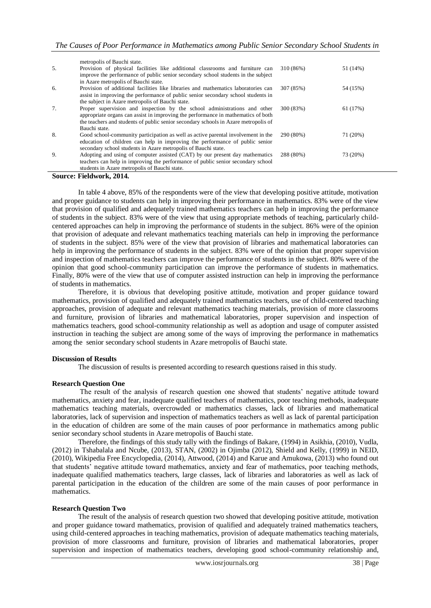| 5. | metropolis of Bauchi state.<br>Provision of physical facilities like additional classrooms and furniture can<br>improve the performance of public senior secondary school students in the subject | 310 (86%) | 51 (14%) |
|----|---------------------------------------------------------------------------------------------------------------------------------------------------------------------------------------------------|-----------|----------|
|    | in Azare metropolis of Bauchi state.                                                                                                                                                              |           |          |
| 6. | Provision of additional facilities like libraries and mathematics laboratories can<br>assist in improving the performance of public senior secondary school students in                           | 307 (85%) | 54 (15%) |
|    | the subject in Azare metropolis of Bauchi state.                                                                                                                                                  |           |          |
| 7. | Proper supervision and inspection by the school administrations and other                                                                                                                         | 300 (83%) | 61 (17%) |
|    | appropriate organs can assist in improving the performance in mathematics of both                                                                                                                 |           |          |
|    | the teachers and students of public senior secondary schools in Azare metropolis of                                                                                                               |           |          |
|    | Bauchi state.                                                                                                                                                                                     |           |          |
| 8. | Good school-community participation as well as active parental involvement in the                                                                                                                 | 290 (80%) | 71 (20%) |
|    | education of children can help in improving the performance of public senior                                                                                                                      |           |          |
|    | secondary school students in Azare metropolis of Bauchi state.                                                                                                                                    |           |          |
| 9. | Adopting and using of computer assisted (CAT) by our present day mathematics                                                                                                                      | 288 (80%) | 73 (20%) |
|    | teachers can help in improving the performance of public senior secondary school                                                                                                                  |           |          |
|    | students in Azare metropolis of Bauchi state.                                                                                                                                                     |           |          |

#### **Source: Fieldwork, 2014.**

In table 4 above, 85% of the respondents were of the view that developing positive attitude, motivation and proper guidance to students can help in improving their performance in mathematics. 83% were of the view that provision of qualified and adequately trained mathematics teachers can help in improving the performance of students in the subject. 83% were of the view that using appropriate methods of teaching, particularly childcentered approaches can help in improving the performance of students in the subject. 86% were of the opinion that provision of adequate and relevant mathematics teaching materials can help in improving the performance of students in the subject. 85% were of the view that provision of libraries and mathematical laboratories can help in improving the performance of students in the subject. 83% were of the opinion that proper supervision and inspection of mathematics teachers can improve the performance of students in the subject. 80% were of the opinion that good school-community participation can improve the performance of students in mathematics. Finally, 80% were of the view that use of computer assisted instruction can help in improving the performance of students in mathematics.

Therefore, it is obvious that developing positive attitude, motivation and proper guidance toward mathematics, provision of qualified and adequately trained mathematics teachers, use of child-centered teaching approaches, provision of adequate and relevant mathematics teaching materials, provision of more classrooms and furniture, provision of libraries and mathematical laboratories, proper supervision and inspection of mathematics teachers, good school-community relationship as well as adoption and usage of computer assisted instruction in teaching the subject are among some of the ways of improving the performance in mathematics among the senior secondary school students in Azare metropolis of Bauchi state.

#### **Discussion of Results**

The discussion of results is presented according to research questions raised in this study.

#### **Research Question One**

The result of the analysis of research question one showed that students' negative attitude toward mathematics, anxiety and fear, inadequate qualified teachers of mathematics, poor teaching methods, inadequate mathematics teaching materials, overcrowded or mathematics classes, lack of libraries and mathematical laboratories, lack of supervision and inspection of mathematics teachers as well as lack of parental participation in the education of children are some of the main causes of poor performance in mathematics among public senior secondary school students in Azare metropolis of Bauchi state.

Therefore, the findings of this study tally with the findings of Bakare, (1994) in Asikhia, (2010), Vudla, (2012) in Tshabalala and Ncube, (2013), STAN, (2002) in Ojimba (2012), Shield and Kelly, (1999) in NEID, (2010), Wikipedia Free Encyclopedia, (2014), Attwood, (2014) and Karue and Amukowa, (2013) who found out that students' negative attitude toward mathematics, anxiety and fear of mathematics, poor teaching methods, inadequate qualified mathematics teachers, large classes, lack of libraries and laboratories as well as lack of parental participation in the education of the children are some of the main causes of poor performance in mathematics.

#### **Research Question Two**

The result of the analysis of research question two showed that developing positive attitude, motivation and proper guidance toward mathematics, provision of qualified and adequately trained mathematics teachers, using child-centered approaches in teaching mathematics, provision of adequate mathematics teaching materials, provision of more classrooms and furniture, provision of libraries and mathematical laboratories, proper supervision and inspection of mathematics teachers, developing good school-community relationship and,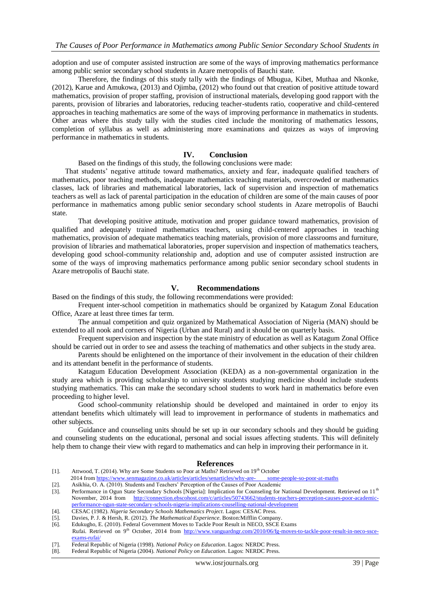adoption and use of computer assisted instruction are some of the ways of improving mathematics performance among public senior secondary school students in Azare metropolis of Bauchi state.

Therefore, the findings of this study tally with the findings of Mbugua, Kibet, Muthaa and Nkonke, (2012), Karue and Amukowa, (2013) and Ojimba, (2012) who found out that creation of positive attitude toward mathematics, provision of proper staffing, provision of instructional materials, developing good rapport with the parents, provision of libraries and laboratories, reducing teacher-students ratio, cooperative and child-centered approaches in teaching mathematics are some of the ways of improving performance in mathematics in students. Other areas where this study tally with the studies cited include the monitoring of mathematics lessons, completion of syllabus as well as administering more examinations and quizzes as ways of improving performance in mathematics in students.

# **IV. Conclusion**

Based on the findings of this study, the following conclusions were made:

That students' negative attitude toward mathematics, anxiety and fear, inadequate qualified teachers of mathematics, poor teaching methods, inadequate mathematics teaching materials, overcrowded or mathematics classes, lack of libraries and mathematical laboratories, lack of supervision and inspection of mathematics teachers as well as lack of parental participation in the education of children are some of the main causes of poor performance in mathematics among public senior secondary school students in Azare metropolis of Bauchi state.

That developing positive attitude, motivation and proper guidance toward mathematics, provision of qualified and adequately trained mathematics teachers, using child-centered approaches in teaching mathematics, provision of adequate mathematics teaching materials, provision of more classrooms and furniture, provision of libraries and mathematical laboratories, proper supervision and inspection of mathematics teachers, developing good school-community relationship and, adoption and use of computer assisted instruction are some of the ways of improving mathematics performance among public senior secondary school students in Azare metropolis of Bauchi state.

#### **V. Recommendations**

Based on the findings of this study, the following recommendations were provided:

Frequent inter-school competition in mathematics should be organized by Katagum Zonal Education Office, Azare at least three times far term.

The annual competition and quiz organized by Mathematical Association of Nigeria (MAN) should be extended to all nook and corners of Nigeria (Urban and Rural) and it should be on quarterly basis.

Frequent supervision and inspection by the state ministry of education as well as Katagum Zonal Office should be carried out in order to see and assess the teaching of mathematics and other subjects in the study area.

Parents should be enlightened on the importance of their involvement in the education of their children and its attendant benefit in the performance of students.

Katagum Education Development Association (KEDA) as a non-governmental organization in the study area which is providing scholarship to university students studying medicine should include students studying mathematics. This can make the secondary school students to work hard in mathematics before even proceeding to higher level.

Good school-community relationship should be developed and maintained in order to enjoy its attendant benefits which ultimately will lead to improvement in performance of students in mathematics and other subjects.

Guidance and counseling units should be set up in our secondary schools and they should be guiding and counseling students on the educational, personal and social issues affecting students. This will definitely help them to change their view with regard to mathematics and can help in improving their performance in it.

#### **References**

- [1]. Attwood, T. (2014). Why are Some Students so Poor at Maths? Retrieved on  $19<sup>th</sup>$  October
- 2014 from [https://www.senmagazine.co.uk/articles/articles/senarticles/why-are- some-people-so-poor-at-maths](https://www.senmagazine.co.uk/articles/articles/senarticles/why-are-%20%20%20%20%20%20%20%20some-people-so-poor-at-maths)
- [2]. Asikhia, O. A. (2010). Students and Teachers' Perception of the Causes of Poor Academic [3]. Performance in Ogun State Secondary Schools [Nigeria]: Implication for Counseling for National Development. Retrieved on 11<sup>th</sup> November, 2014 from [http://connection.ebscohost.com/c/articles/50743662/students-teachers-perception-causes-poor-academic-](http://connection.ebscohost.com/c/articles/50743662/students-teachers-perception-causes-poor-academic-performance-ogun-state-secondary-schools-nigeria-implications-couselling-national-development)
- [performance-ogun-state-secondary-schools-nigeria-implications-couselling-national-development](http://connection.ebscohost.com/c/articles/50743662/students-teachers-perception-causes-poor-academic-performance-ogun-state-secondary-schools-nigeria-implications-couselling-national-development)
- [4]. CESAC (1982). *Nigeria Secondary Schools Mathematics Project*. Lagos: CESAC Press.
- [5]. Davies, P. J. & Hersh, R. (2012). *The Mathematical Experience*. Boston:Mifflin Company.
- Edukugho, E. (2010). Federal Government Moves to Tackle Poor Result in NECO, SSCE Exams Rufai. Retrieved on 9<sup>th</sup> October, 2014 from [http://www.vanguardngr.com/2010/06/fg-moves-to-tackle-poor-result-in-neco-ssce](http://www.vanguardngr.com/2010/06/fg-moves-to-tackle-poor-result-in-neco-ssce-%20%20%20exams-rufai/)[exams-rufai/](http://www.vanguardngr.com/2010/06/fg-moves-to-tackle-poor-result-in-neco-ssce-%20%20%20exams-rufai/)
- [7]. Federal Republic of Nigeria (1998). *National Policy on Education*. Lagos: NERDC Press.
- [8]. Federal Republic of Nigeria (2004). *National Policy on Education*. Lagos: NERDC Press.